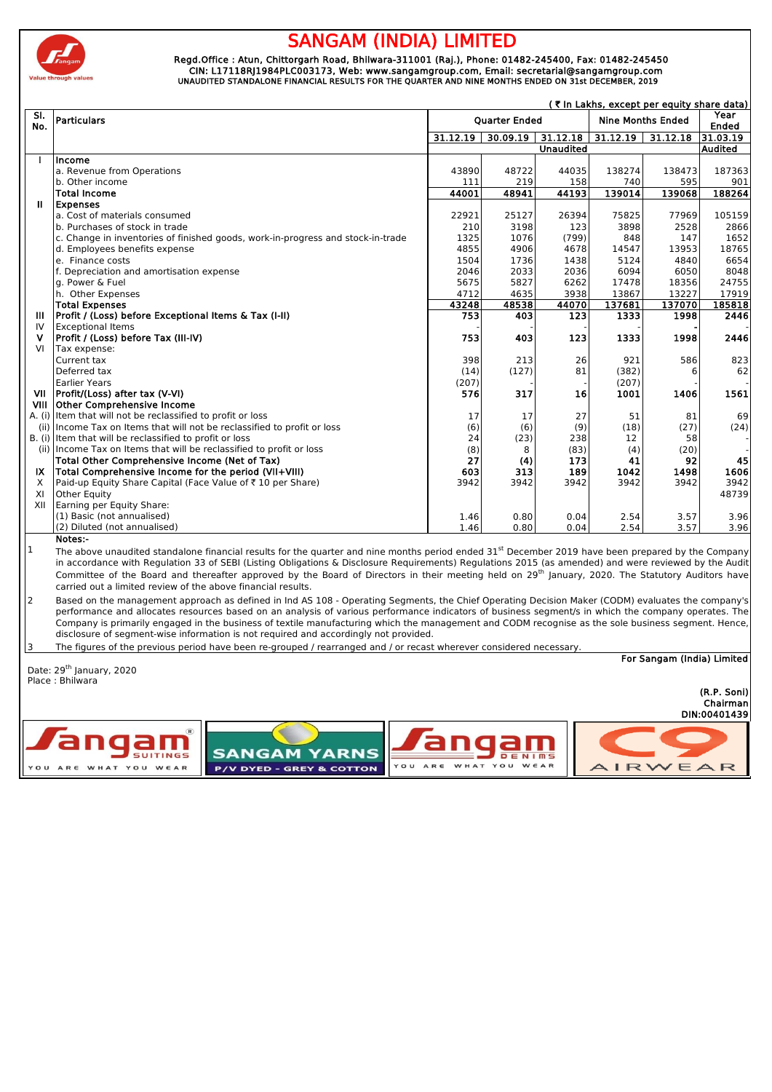

## **GAM (INDIA) LIMITED**

 Regd.Office : Atun, Chittorgarh Road, Bhilwara-311001 (Raj.), Phone: 01482-245400, Fax: 01482-245450 CIN: L17118RJ1984PLC003173, Web: www.sangamgroup.com, Email: secretarial@sangamgroup.com UNAUDITED STANDALONE FINANCIAL RESULTS FOR THE QUARTER AND NINE MONTHS ENDED ON 31st DECEMBER, 2019

|      | (₹ In Lakhs, except per equity share data)                                                                                                                     |                                                  |          |                  |          |          |                |
|------|----------------------------------------------------------------------------------------------------------------------------------------------------------------|--------------------------------------------------|----------|------------------|----------|----------|----------------|
| SI.  | Particulars                                                                                                                                                    | <b>Ouarter Ended</b><br><b>Nine Months Ended</b> |          |                  |          |          | Year           |
| No.  |                                                                                                                                                                |                                                  |          |                  |          |          | <b>Ended</b>   |
|      |                                                                                                                                                                | 31.12.19                                         | 30.09.19 | 31.12.18         | 31.12.19 | 31.12.18 | 31.03.19       |
|      |                                                                                                                                                                |                                                  |          | <b>Unaudited</b> |          |          | <b>Audited</b> |
|      | Income                                                                                                                                                         |                                                  |          |                  |          |          |                |
|      | a. Revenue from Operations                                                                                                                                     | 43890                                            | 48722    | 44035            | 138274   | 138473   | 187363         |
|      | b. Other income                                                                                                                                                | 111                                              | 219      | 158              | 740      | 595      | 901            |
|      | <b>Total Income</b>                                                                                                                                            | 44001                                            | 48941    | 44193            | 139014   | 139068   | 188264         |
| Ш    | <b>Expenses</b>                                                                                                                                                |                                                  |          |                  |          |          |                |
|      | a. Cost of materials consumed                                                                                                                                  | 22921                                            | 25127    | 26394            | 75825    | 77969    | 105159         |
|      | b. Purchases of stock in trade                                                                                                                                 | 210                                              | 3198     | 123              | 3898     | 2528     | 2866           |
|      | c. Change in inventories of finished goods, work-in-progress and stock-in-trade                                                                                | 1325                                             | 1076     | (799)            | 848      | 147      | 1652           |
|      | d. Employees benefits expense                                                                                                                                  | 4855                                             | 4906     | 4678             | 14547    | 13953    | 18765          |
|      | e. Finance costs                                                                                                                                               | 1504                                             | 1736     | 1438             | 5124     | 4840     | 6654           |
|      | f. Depreciation and amortisation expense                                                                                                                       | 2046                                             | 2033     | 2036             | 6094     | 6050     | 8048           |
|      | g. Power & Fuel                                                                                                                                                | 5675                                             | 5827     | 6262             | 17478    | 18356    | 24755          |
|      | h. Other Expenses                                                                                                                                              | 4712                                             | 4635     | 3938             | 13867    | 13227    | 17919          |
|      | <b>Total Expenses</b>                                                                                                                                          | 43248                                            | 48538    | 44070            | 137681   | 137070   | 185818         |
| Ш    | Profit / (Loss) before Exceptional Items & Tax (I-II)                                                                                                          | 753                                              | 403      | 123              | 1333     | 1998     | 2446           |
| IV   | <b>Exceptional Items</b>                                                                                                                                       |                                                  |          |                  |          |          |                |
| ۷    | Profit / (Loss) before Tax (III-IV)                                                                                                                            | 753                                              | 403      | 123              | 1333     | 1998     | 2446           |
| VI   | Tax expense:                                                                                                                                                   |                                                  |          |                  |          |          |                |
|      | Current tax                                                                                                                                                    | 398                                              | 213      | 26               | 921      | 586      | 823            |
|      | Deferred tax                                                                                                                                                   | (14)                                             | (127)    | 81               | (382)    | 6        | 62             |
|      | <b>Earlier Years</b>                                                                                                                                           | (207)                                            |          |                  | (207)    |          |                |
| VII  | Profit/(Loss) after tax (V-VI)                                                                                                                                 | 576                                              | 317      | 16               | 1001     | 1406     | 1561           |
| VIII | <b>Other Comprehensive Income</b>                                                                                                                              |                                                  |          |                  |          |          |                |
|      | A. (i) Item that will not be reclassified to profit or loss                                                                                                    | 17                                               | 17       | 27               | 51       | 81       | 69             |
|      | (ii) Income Tax on Items that will not be reclassified to profit or loss                                                                                       | (6)                                              | (6)      | (9)              | (18)     | (27)     | (24)           |
|      | B. (i) Item that will be reclassified to profit or loss                                                                                                        | 24                                               | (23)     | 238              | 12       | 58       |                |
|      | (ii) Income Tax on Items that will be reclassified to profit or loss                                                                                           | (8)                                              | 8        | (83)             | (4)      | (20)     |                |
|      | Total Other Comprehensive Income (Net of Tax)                                                                                                                  | 27                                               | (4)      | 173              | 41       | 92       | 45             |
| IX   | Total Comprehensive Income for the period (VII+VIII)                                                                                                           | 603                                              | 313      | 189              | 1042     | 1498     | 1606           |
| X    | Paid-up Equity Share Capital (Face Value of ₹10 per Share)                                                                                                     | 3942                                             | 3942     | 3942             | 3942     | 3942     | 3942           |
| XI   | Other Equity                                                                                                                                                   |                                                  |          |                  |          |          | 48739          |
| XII  | Earning per Equity Share:                                                                                                                                      |                                                  |          |                  |          |          |                |
|      | (1) Basic (not annualised)                                                                                                                                     | 1.46                                             | 0.80     | 0.04             | 2.54     | 3.57     | 3.96           |
|      | (2) Diluted (not annualised)                                                                                                                                   | 1.46                                             | 0.80     | 0.04             | 2.54     | 3.57     | 3.96           |
|      | Notes:-                                                                                                                                                        |                                                  |          |                  |          |          |                |
| 1    | The above unaudited standalone financial results for the quarter and nine months period ended 31 <sup>st</sup> December 2019 have been prepared by the Company |                                                  |          |                  |          |          |                |

in accordance with Regulation 33 of SEBI (Listing Obligations & Disclosure Requirements) Regulations 2015 (as amended) and were reviewed by the Audit Committee of the Board and thereafter approved by the Board of Directors in their meeting held on 29<sup>th</sup> January, 2020. The Statutory Auditors have carried out a limited review of the above financial results.

2 Based on the management approach as defined in Ind AS 108 - Operating Segments, the Chief Operating Decision Maker (CODM) evaluates the company's performance and allocates resources based on an analysis of various performance indicators of business segment/s in which the company operates. The Company is primarily engaged in the business of textile manufacturing which the management and CODM recognise as the sole business segment. Hence, disclosure of segment-wise information is not required and accordingly not provided.

| 13.<br>The figures of the previous period have been re-grouped / rearranged and / or recast wherever considered necessary. |                          |  |  |  |  |  |
|----------------------------------------------------------------------------------------------------------------------------|--------------------------|--|--|--|--|--|
| For Sangam (India) Limited<br>Date: 29 <sup>th</sup> January, 2020                                                         |                          |  |  |  |  |  |
| Place: Bhilwara                                                                                                            | (R.P. Soni)              |  |  |  |  |  |
|                                                                                                                            | Chairman<br>DIN:00401439 |  |  |  |  |  |
| <b>J</b> angam<br>angam<br><b>SANGAM YARNS</b><br><b>SUITINGS</b><br>DENIMS                                                |                          |  |  |  |  |  |
| WHAT YOU WEAR<br>YOU<br>A R E<br><b>P/V DYED - GREY &amp; COTTON</b><br>WHAT YOU WEAR<br>YOU<br>ARE                        | AIRWEAR                  |  |  |  |  |  |
|                                                                                                                            |                          |  |  |  |  |  |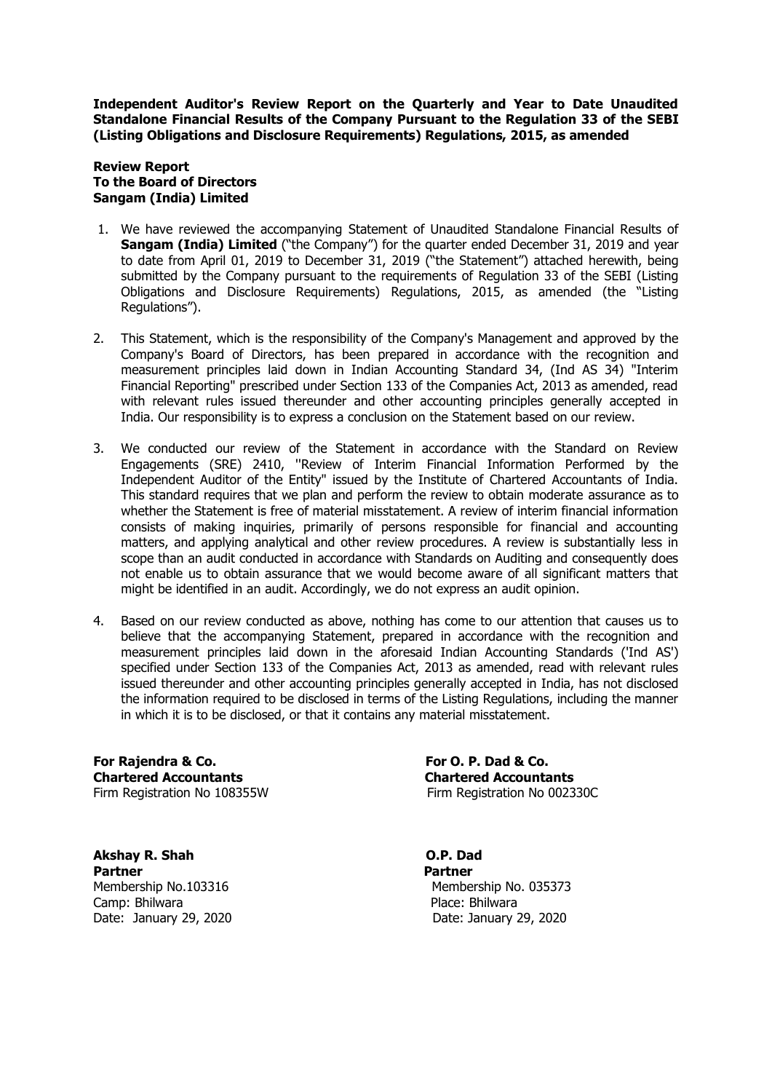**Independent Auditor's Review Report on the Quarterly and Year to Date Unaudited Standalone Financial Results of the Company Pursuant to the Regulation 33 of the SEBI (Listing Obligations and Disclosure Requirements) Regulations, 2015, as amended**

## **Review Report To the Board of Directors Sangam (India) Limited**

- 1. We have reviewed the accompanying Statement of Unaudited Standalone Financial Results of **Sangam (India) Limited** ("the Company") for the quarter ended December 31, 2019 and year to date from April 01, 2019 to December 31, 2019 ("the Statement") attached herewith, being submitted by the Company pursuant to the requirements of Regulation 33 of the SEBI (Listing Obligations and Disclosure Requirements) Regulations, 2015, as amended (the "Listing Regulations").
- 2. This Statement, which is the responsibility of the Company's Management and approved by the Company's Board of Directors, has been prepared in accordance with the recognition and measurement principles laid down in Indian Accounting Standard 34, (Ind AS 34) "Interim Financial Reporting" prescribed under Section 133 of the Companies Act, 2013 as amended, read with relevant rules issued thereunder and other accounting principles generally accepted in India. Our responsibility is to express a conclusion on the Statement based on our review.
- 3. We conducted our review of the Statement in accordance with the Standard on Review Engagements (SRE) 2410, ''Review of Interim Financial Information Performed by the Independent Auditor of the Entity" issued by the Institute of Chartered Accountants of India. This standard requires that we plan and perform the review to obtain moderate assurance as to whether the Statement is free of material misstatement. A review of interim financial information consists of making inquiries, primarily of persons responsible for financial and accounting matters, and applying analytical and other review procedures. A review is substantially less in scope than an audit conducted in accordance with Standards on Auditing and consequently does not enable us to obtain assurance that we would become aware of all significant matters that might be identified in an audit. Accordingly, we do not express an audit opinion.
- 4. Based on our review conducted as above, nothing has come to our attention that causes us to believe that the accompanying Statement, prepared in accordance with the recognition and measurement principles laid down in the aforesaid Indian Accounting Standards ('Ind AS') specified under Section 133 of the Companies Act, 2013 as amended, read with relevant rules issued thereunder and other accounting principles generally accepted in India, has not disclosed the information required to be disclosed in terms of the Listing Regulations, including the manner in which it is to be disclosed, or that it contains any material misstatement.

For Rajendra & Co. **For Co. P. Dad & Co. For O. P. Dad & Co. Chartered Accountants Chartered Accountants**  Firm Registration No 108355W Firm Registration No 002330C

**Akshay R. Shah O.P. Dad** Partner **Partner** Partner Camp: Bhilwara **Place: Bhilwara** Place: Bhilwara

Membership No.103316 Membership No. 035373 Date: January 29, 2020 Date: January 29, 2020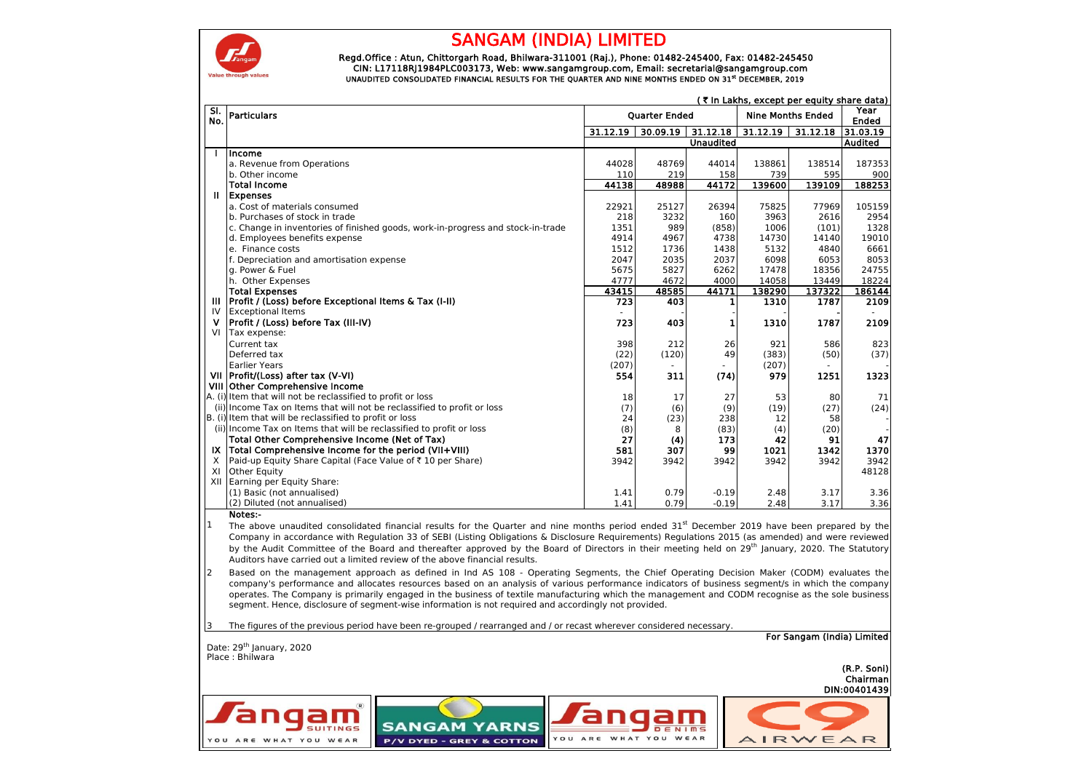

## SANGAM (INDIA) LIMITED

 Regd.Office : Atun, Chittorgarh Road, Bhilwara-311001 (Raj.), Phone: 01482-245400, Fax: 01482-245450 CIN: L17118RJ1984PLC003173, Web: www.sangamgroup.com, Email: secretarial@sangamgroup.com<br>1919 UNAUDITED CONSOLIDATED FINANCIAL RESULTS FOR THE QUARTER AND NINE MONTHS ENDED ON 31st DECEMBER, 2019

|                | (₹ In Lakhs, except per equity share data)                                                                                                                                                                                                                                                          |                  |          |                  |                          |          |                |
|----------------|-----------------------------------------------------------------------------------------------------------------------------------------------------------------------------------------------------------------------------------------------------------------------------------------------------|------------------|----------|------------------|--------------------------|----------|----------------|
| SI.<br>No.     | <b>Particulars</b><br><b>Quarter Ended</b>                                                                                                                                                                                                                                                          |                  |          |                  | <b>Nine Months Ended</b> |          | Year<br>Ended  |
|                |                                                                                                                                                                                                                                                                                                     | 31.12.19         | 30.09.19 | 31.12.18         | 31.12.19                 | 31.12.18 | 31.03.19       |
|                |                                                                                                                                                                                                                                                                                                     |                  |          | <b>Unaudited</b> |                          |          | <b>Audited</b> |
| $\blacksquare$ | lincome                                                                                                                                                                                                                                                                                             |                  |          |                  |                          |          |                |
|                | a. Revenue from Operations                                                                                                                                                                                                                                                                          | 44028            | 48769    | 44014            | 138861                   | 138514   | 187353         |
|                | b. Other income                                                                                                                                                                                                                                                                                     | 110              | 219      | 158              | 739                      | 595      | 900            |
|                | <b>Total Income</b>                                                                                                                                                                                                                                                                                 | 44138            | 48988    | 44172            | 139600                   | 139109   | 188253         |
| Ш              | <b>Expenses</b>                                                                                                                                                                                                                                                                                     |                  |          |                  |                          |          |                |
|                | a. Cost of materials consumed                                                                                                                                                                                                                                                                       | 22921            | 25127    | 26394            | 75825                    | 77969    | 105159         |
|                | b. Purchases of stock in trade                                                                                                                                                                                                                                                                      | 218              | 3232     | 160              | 3963                     | 2616     | 2954           |
|                | c. Change in inventories of finished goods, work-in-progress and stock-in-trade                                                                                                                                                                                                                     | 1351             | 989      | (858)            | 1006                     | (101)    | 1328           |
|                | d. Employees benefits expense                                                                                                                                                                                                                                                                       | 4914             | 4967     | 4738             | 14730                    | 14140    | 19010          |
|                | e. Finance costs                                                                                                                                                                                                                                                                                    | 1512             | 1736     | 1438             | 5132                     | 4840     | 6661           |
|                | f. Depreciation and amortisation expense                                                                                                                                                                                                                                                            | 2047             | 2035     | 2037             | 6098                     | 6053     | 8053           |
|                | g. Power & Fuel                                                                                                                                                                                                                                                                                     | 5675             | 5827     | 6262             | 17478                    | 18356    | 24755          |
|                | h. Other Expenses                                                                                                                                                                                                                                                                                   | 4777             | 4672     | 4000             | 14058                    | 13449    | 18224          |
|                | <b>Total Expenses</b>                                                                                                                                                                                                                                                                               | 43415            | 48585    | 44171            | 138290                   | 137322   | 186144         |
| Ш              | Profit / (Loss) before Exceptional Items & Tax (I-II)                                                                                                                                                                                                                                               | $\overline{723}$ | 403      | 1                | 1310                     | 1787     | 2109           |
| IV             | <b>Exceptional Items</b>                                                                                                                                                                                                                                                                            |                  |          |                  |                          |          |                |
| v              | Profit / (Loss) before Tax (III-IV)                                                                                                                                                                                                                                                                 | 723              | 403      | 1                | 1310                     | 1787     | 2109           |
| VI             | Tax expense:                                                                                                                                                                                                                                                                                        |                  |          |                  |                          |          |                |
|                | Current tax                                                                                                                                                                                                                                                                                         | 398              | 212      | 26               | 921                      | 586      | 823            |
|                | Deferred tax                                                                                                                                                                                                                                                                                        | (22)             | (120)    | 49               | (383)                    | (50)     | (37)           |
|                | <b>Earlier Years</b>                                                                                                                                                                                                                                                                                | (207)            |          |                  | (207)                    |          |                |
|                | VII   Profit/(Loss) after tax (V-VI)                                                                                                                                                                                                                                                                | 554              | 311      | (74)             | 979                      | 1251     | 1323           |
|                | VIII Other Comprehensive Income                                                                                                                                                                                                                                                                     |                  |          |                  |                          |          |                |
|                | A. (i) Item that will not be reclassified to profit or loss                                                                                                                                                                                                                                         |                  |          |                  | 53                       |          | 71             |
|                | (ii) Income Tax on Items that will not be reclassified to profit or loss                                                                                                                                                                                                                            | 18               | 17       | 27               |                          | 80       |                |
|                | B. (i) Item that will be reclassified to profit or loss                                                                                                                                                                                                                                             | (7)              | (6)      | (9)              | (19)                     | (27)     | (24)           |
|                |                                                                                                                                                                                                                                                                                                     | 24               | (23)     | 238              | 12                       | 58       |                |
|                | (ii) Income Tax on Items that will be reclassified to profit or loss                                                                                                                                                                                                                                | (8)              | 8        | (83)             | (4)                      | (20)     |                |
|                | Total Other Comprehensive Income (Net of Tax)                                                                                                                                                                                                                                                       | 27               | (4)      | 173              | 42                       | 91       | 47             |
|                | IX Total Comprehensive Income for the period (VII+VIII)                                                                                                                                                                                                                                             | 581              | 307      | 99               | 1021                     | 1342     | 1370           |
| X              | Paid-up Equity Share Capital (Face Value of ₹10 per Share)                                                                                                                                                                                                                                          | 3942             | 3942     | 3942             | 3942                     | 3942     | 3942           |
| XI             | <b>Other Equity</b>                                                                                                                                                                                                                                                                                 |                  |          |                  |                          |          | 48128          |
|                | XII Earning per Equity Share:                                                                                                                                                                                                                                                                       |                  |          |                  |                          |          |                |
|                | (1) Basic (not annualised)                                                                                                                                                                                                                                                                          | 1.41             | 0.79     | $-0.19$          | 2.48                     | 3.17     | 3.36           |
|                | (2) Diluted (not annualised)                                                                                                                                                                                                                                                                        | 1.41             | 0.79     | $-0.19$          | 2.48                     | 3.17     | 3.36           |
|                | Notes:-                                                                                                                                                                                                                                                                                             |                  |          |                  |                          |          |                |
| $\mathbf{1}$   | The above unaudited consolidated financial results for the Quarter and nine months period ended $31st$ December 2019 have been prepared by the                                                                                                                                                      |                  |          |                  |                          |          |                |
|                | Company in accordance with Regulation 33 of SEBI (Listing Obligations & Disclosure Requirements) Regulations 2015 (as amended) and were reviewed                                                                                                                                                    |                  |          |                  |                          |          |                |
|                | by the Audit Committee of the Board and thereafter approved by the Board of Directors in their meeting held on 29 <sup>th</sup> January, 2020. The Statutory                                                                                                                                        |                  |          |                  |                          |          |                |
|                | Auditors have carried out a limited review of the above financial results.                                                                                                                                                                                                                          |                  |          |                  |                          |          |                |
| 2              | Based on the management approach as defined in Ind AS 108 - Operating Segments, the Chief Operating Decision Maker (CODM) evaluates the                                                                                                                                                             |                  |          |                  |                          |          |                |
|                | company's performance and allocates resources based on an analysis of various performance indicators of business segment/s in which the company<br>operates. The Company is primarily engaged in the business of textile manufacturing which the management and CODM recognise as the sole business |                  |          |                  |                          |          |                |

l 3 The figures of the previous period have been re-grouped / rearranged and / or recast wherever considered necessary.

segment. Hence, disclosure of segment-wise information is not required and accordingly not provided.

| Date: 29 <sup>th</sup> January, 2020<br>Place: Bhilwara                                  | inding and or and provided parrow nave been no grouped; redirenged and; or recede microverence necessary; |                                                 | For Sangam (India) Limited              |
|------------------------------------------------------------------------------------------|-----------------------------------------------------------------------------------------------------------|-------------------------------------------------|-----------------------------------------|
|                                                                                          |                                                                                                           |                                                 | (R.P. Soni)<br>Chairman<br>DIN:00401439 |
| $\left( \mathbb{R}\right)$<br><i>J</i> angam<br><b>SUITINGS</b><br>YOU ARE WHAT YOU WEAR | <b>SANGAM YARNS</b><br><b>P/V DYED - GREY &amp; COTTON</b>                                                | angam/<br>DENIMS<br>WHAT YOU WEAR<br>YOU<br>ARE | AIRWEAR                                 |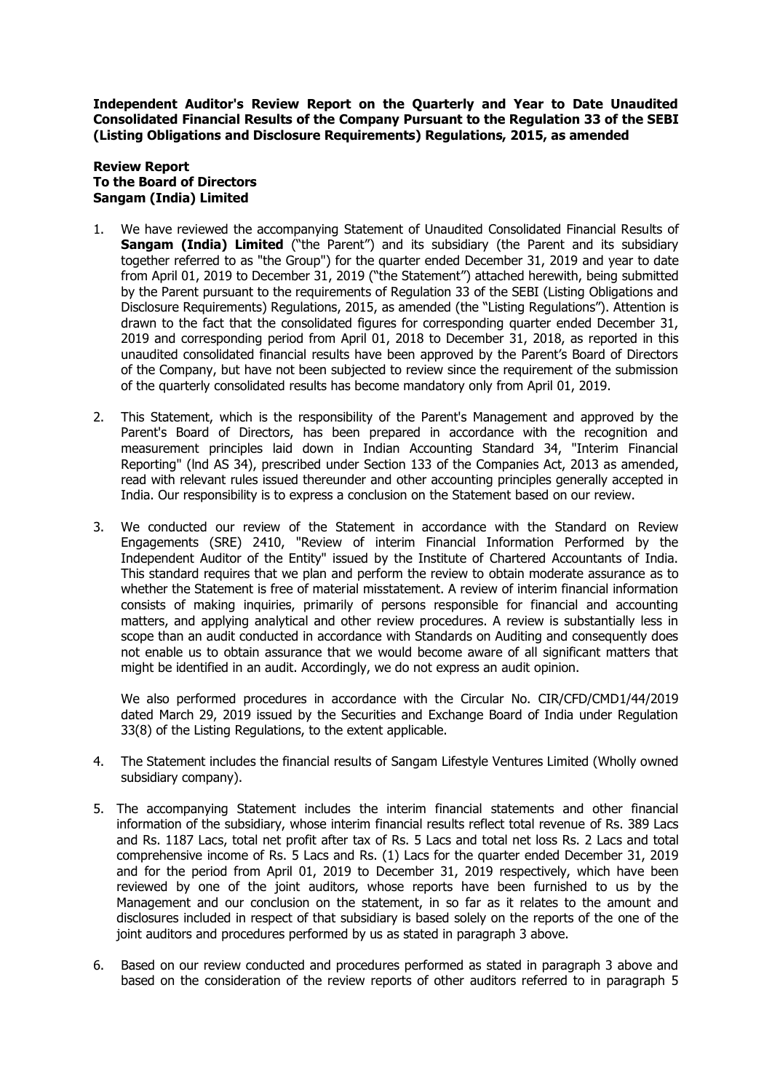**Independent Auditor's Review Report on the Quarterly and Year to Date Unaudited Consolidated Financial Results of the Company Pursuant to the Regulation 33 of the SEBI (Listing Obligations and Disclosure Requirements) Regulations, 2015, as amended**

## **Review Report To the Board of Directors Sangam (India) Limited**

- 1. We have reviewed the accompanying Statement of Unaudited Consolidated Financial Results of **Sangam (India) Limited** ("the Parent") and its subsidiary (the Parent and its subsidiary together referred to as "the Group") for the quarter ended December 31, 2019 and year to date from April 01, 2019 to December 31, 2019 ("the Statement") attached herewith, being submitted by the Parent pursuant to the requirements of Regulation 33 of the SEBI (Listing Obligations and Disclosure Requirements) Regulations, 2015, as amended (the "Listing Regulations"). Attention is drawn to the fact that the consolidated figures for corresponding quarter ended December 31, 2019 and corresponding period from April 01, 2018 to December 31, 2018, as reported in this unaudited consolidated financial results have been approved by the Parent's Board of Directors of the Company, but have not been subjected to review since the requirement of the submission of the quarterly consolidated results has become mandatory only from April 01, 2019.
- 2. This Statement, which is the responsibility of the Parent's Management and approved by the Parent's Board of Directors, has been prepared in accordance with the recognition and measurement principles laid down in Indian Accounting Standard 34, "Interim Financial Reporting" (lnd AS 34), prescribed under Section 133 of the Companies Act, 2013 as amended, read with relevant rules issued thereunder and other accounting principles generally accepted in India. Our responsibility is to express a conclusion on the Statement based on our review.
- 3. We conducted our review of the Statement in accordance with the Standard on Review Engagements (SRE) 2410, "Review of interim Financial Information Performed by the Independent Auditor of the Entity" issued by the Institute of Chartered Accountants of India. This standard requires that we plan and perform the review to obtain moderate assurance as to whether the Statement is free of material misstatement. A review of interim financial information consists of making inquiries, primarily of persons responsible for financial and accounting matters, and applying analytical and other review procedures. A review is substantially less in scope than an audit conducted in accordance with Standards on Auditing and consequently does not enable us to obtain assurance that we would become aware of all significant matters that might be identified in an audit. Accordingly, we do not express an audit opinion.

We also performed procedures in accordance with the Circular No. CIR/CFD/CMD1/44/2019 dated March 29, 2019 issued by the Securities and Exchange Board of India under Regulation 33(8) of the Listing Regulations, to the extent applicable.

- 4. The Statement includes the financial results of Sangam Lifestyle Ventures Limited (Wholly owned subsidiary company).
- 5. The accompanying Statement includes the interim financial statements and other financial information of the subsidiary, whose interim financial results reflect total revenue of Rs. 389 Lacs and Rs. 1187 Lacs, total net profit after tax of Rs. 5 Lacs and total net loss Rs. 2 Lacs and total comprehensive income of Rs. 5 Lacs and Rs. (1) Lacs for the quarter ended December 31, 2019 and for the period from April 01, 2019 to December 31, 2019 respectively, which have been reviewed by one of the joint auditors, whose reports have been furnished to us by the Management and our conclusion on the statement, in so far as it relates to the amount and disclosures included in respect of that subsidiary is based solely on the reports of the one of the joint auditors and procedures performed by us as stated in paragraph 3 above.
- 6. Based on our review conducted and procedures performed as stated in paragraph 3 above and based on the consideration of the review reports of other auditors referred to in paragraph 5